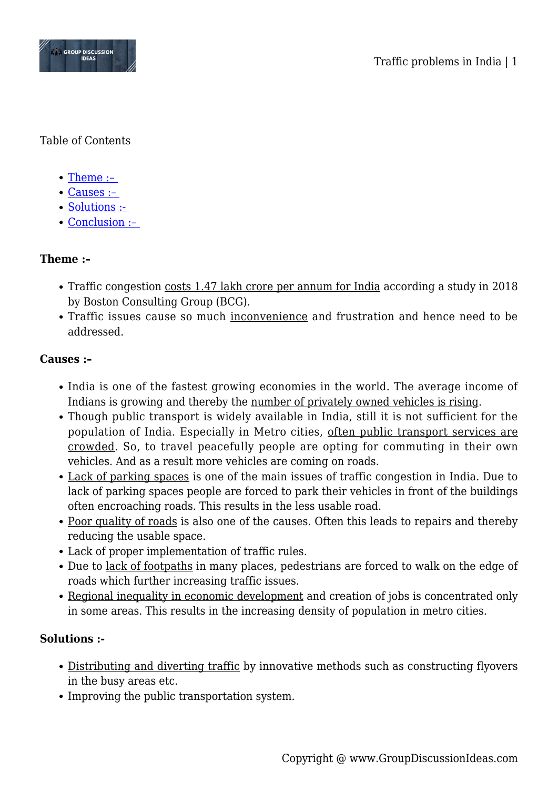

### Table of Contents

- $\bullet$  Theme :-
- [Causes :–](#page--1-0)
- Solutions :-
- Conclusion :-

### **Theme :–**

- Traffic congestion costs 1.47 lakh crore per annum for India according a study in 2018 by Boston Consulting Group (BCG).
- Traffic issues cause so much inconvenience and frustration and hence need to be addressed.

#### **Causes :–**

- India is one of the fastest growing economies in the world. The average income of Indians is growing and thereby the number of privately owned vehicles is rising.
- Though public transport is widely available in India, still it is not sufficient for the population of India. Especially in Metro cities, often public transport services are crowded. So, to travel peacefully people are opting for commuting in their own vehicles. And as a result more vehicles are coming on roads.
- Lack of parking spaces is one of the main issues of traffic congestion in India. Due to lack of parking spaces people are forced to park their vehicles in front of the buildings often encroaching roads. This results in the less usable road.
- Poor quality of roads is also one of the causes. Often this leads to repairs and thereby reducing the usable space.
- Lack of proper implementation of traffic rules.
- Due to lack of footpaths in many places, pedestrians are forced to walk on the edge of roads which further increasing traffic issues.
- Regional inequality in economic development and creation of jobs is concentrated only in some areas. This results in the increasing density of population in metro cities.

### **Solutions :-**

- Distributing and diverting traffic by innovative methods such as constructing flyovers in the busy areas etc.
- Improving the public transportation system.